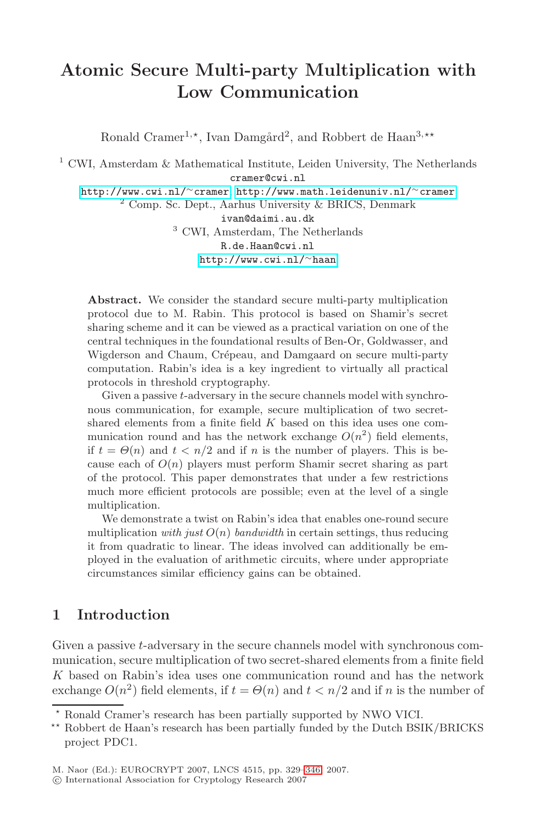# **Atomic Secure Multi-party Multiplication with Low Communication**

Ronald Cramer<sup>1,\*</sup>, Ivan Damgård<sup>2</sup>, and Robbert de Haan<sup>3,\*\*</sup>

<sup>1</sup> CWI, Amsterdam & Mathematical Institute, Leiden University, The Netherlands cramer@cwi.nl [http://www.cwi.nl/](http://www.cwi.nl/~cramer)<sup>∼</sup>cramer, [http://www.math.leidenuniv.nl/](http://www.math.leidenuniv.nl/~cramer)<sup>∼</sup>cramer  $2$  Comp. Sc. Dept., Aarhus University & BRICS, Denmark ivan@daimi.au.dk <sup>3</sup> CWI, Amsterdam, The Netherlands R.de.Haan@cwi.nl

[http://www.cwi.nl/](http://www.cwi.nl/~haan)<sup>∼</sup>haan

**Abstract.** We consider the standard secure multi-party multiplication protocol due to M. Rabin. This protocol is based on Shamir's secret sharing scheme and it can be viewed as a practical variation on one of the central techniques in the foundational results of Ben-Or, Goldwasser, and Wigderson and Chaum, Crépeau, and Damgaard on secure multi-party computation. Rabin's idea is a key ingredient to virtually all practical protocols in threshold cryptography.

Given a passive *t*-adversary in the secure channels model with synchronous communication, for example, secure multiplication of two secretshared elements from a finite field K based on this idea uses one communication round and has the network exchange  $O(n^2)$  field elements, if  $t = \Theta(n)$  and  $t < n/2$  and if n is the number of players. This is because each of  $O(n)$  players must perform Shamir secret sharing as part of the protocol. This paper demonstrates that under a few restrictions much more efficient protocols are possible; even at the level of a single multiplication.

We demonstrate a twist on Rabin's idea that enables one-round secure multiplication with just  $O(n)$  bandwidth in certain settings, thus reducing it from quadratic to linear. The ideas involved can additionally be employed in the evaluation of arithmetic circuits, where under appropriate circumstances similar efficiency gains can be obtained.

# **1 Introduction**

Given a passive t-adversary in the secure channels model with synchronous communication, secure multiplication of two secret-shared elements from a finite field K based on Rabin's idea uses one communication round and has the network exchange  $O(n^2)$  field elements, if  $t = \Theta(n)$  and  $t < n/2$  and if n is the number of

<sup>-</sup> Ronald Cramer's research has been partially supported by NWO VICI.

<sup>\*\*</sup> Robbert de Haan's research has been partially funded by the Dutch BSIK/BRICKS project PDC1.

<sup>-</sup>c International Association for Cryptology Research 2007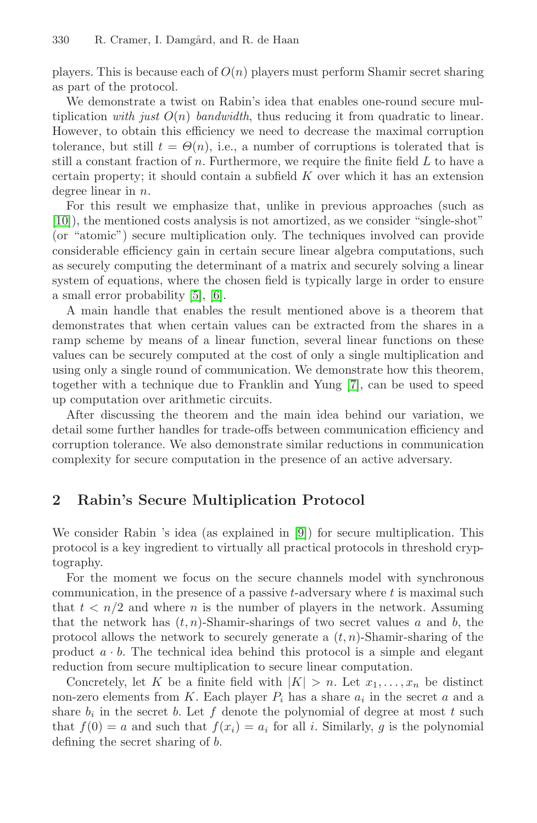players. This is because each of  $O(n)$  players must perform Shamir secret sharing as part of the protocol.

We demonstrate a twist on Rabin's idea that enables one-round secure multiplication with just  $O(n)$  bandwidth, thus reducing it from quadratic to linear. However, to obtain this efficiency we need to decrease the maximal corruption tolerance, but still  $t = \Theta(n)$ , i.e., a number of corruptions is tolerated that is still a constant fraction of  $n$ . Furthermore, we require the finite field  $L$  to have a certain property; it should contain a subfield  $K$  over which it has an extension degree linear in n.

For this result we emphasize that, unlike in previous approaches (such as [10]), the mentioned costs analysis is not amortized, as we consider "single-shot" (or "atomic") secure multiplication only. The techniques involved can provide considerable efficiency gain in certain secure linear algebra computations, such as securely computing the determinant of a matrix and securely solving a linear system of equations, where the chosen field is typically large in order to ensure a small error probability [5], [6].

A main handle that enables the result mentioned above is a theorem that demonstrates that when certain values can be extracted from the shares in a ramp scheme by means of a linear function, several linear functions on these values can be securely computed at the cost of only a single multiplication and using only a single round of communication. We demonstrate how this theorem, together with a technique due to Franklin and Yung [7], can be used to speed up computation over arithmetic circuits.

After discussing the theorem and the main idea behind our variation, we detail some further handles for trade-offs between communication efficiency and corruption tolerance. We also demonstrate similar reductions in communication complexity for secure computation in the presence of an active adversary.

# **2 Rabin's Secure Multiplication Protocol**

We consider Rabin 's idea (as explained in [9]) for secure multiplication. This protocol is a key ingredient to virtually all practical protocols in threshold cryptography.

For the moment we focus on the secure channels model with synchronous communication, in the presence of a passive  $t$ -adversary where  $t$  is maximal such that  $t < n/2$  and where n is the number of players in the network. Assuming that the network has  $(t, n)$ -Shamir-sharings of two secret values a and b, the protocol allows the network to securely generate a  $(t, n)$ -Shamir-sharing of the product  $a \cdot b$ . The technical idea behind this protocol is a simple and elegant reduction from secure multiplication to secure linear computation.

Concretely, let K be a finite field with  $|K| > n$ . Let  $x_1, \ldots, x_n$  be distinct non-zero elements from K. Each player  $P_i$  has a share  $a_i$  in the secret a and a share  $b_i$  in the secret b. Let f denote the polynomial of degree at most t such that  $f(0) = a$  and such that  $f(x_i) = a_i$  for all i. Similarly, g is the polynomial defining the secret sharing of b.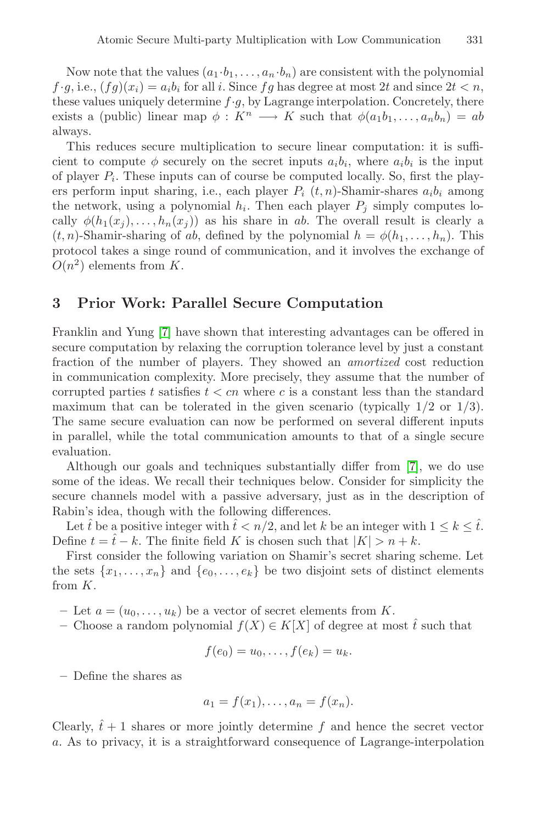Now note that the values  $(a_1 \cdot b_1, \ldots, a_n \cdot b_n)$  are consistent with the polynomial  $f \cdot g$ , i.e.,  $(fg)(x_i) = a_i b_i$  for all i. Since fg has degree at most 2t and since  $2t < n$ , these values uniquely determine  $f \cdot g$ , by Lagrange interpolation. Concretely, there exists a (public) linear map  $\phi: K^n \longrightarrow K$  such that  $\phi(a_1b_1,\ldots,a_nb_n) = ab$ always.

This reduces secure multiplication to secure linear computation: it is sufficient to compute  $\phi$  securely on the secret inputs  $a_i b_i$ , where  $a_i b_i$  is the input of player  $P_i$ . These inputs can of course be computed locally. So, first the players perform input sharing, i.e., each player  $P_i$  (t, n)-Shamir-shares  $a_i b_i$  among the network, using a polynomial  $h_i$ . Then each player  $P_i$  simply computes locally  $\phi(h_1(x_i),\ldots,h_n(x_i))$  as his share in ab. The overall result is clearly a  $(t, n)$ -Shamir-sharing of ab, defined by the polynomial  $h = \phi(h_1, \ldots, h_n)$ . This protocol takes a singe round of communication, and it involves the exchange of  $O(n^2)$  elements from K.

## **3 Prior Work: Parallel Secure Computation**

Franklin and Yung [7] have shown that interesting advantages can be offered in secure computation by relaxing the corruption tolerance level by just a constant fraction of the number of players. They showed an amortized cost reduction in communication complexity. More precisely, they assume that the number of corrupted parties t satisfies  $t < cn$  where c is a constant less than the standard maximum that can be tolerated in the given scenario (typically  $1/2$  or  $1/3$ ). The same secure evaluation can now be performed on several different inputs in parallel, while the total communication amounts to that of a single secure evaluation.

Although our goals and techniques substantially differ from [7], we do use some of the ideas. We recall their techniques below. Consider for simplicity the secure channels model with a passive adversary, just as in the description of Rabin's idea, though with the following differences.

Let  $\hat{t}$  be a positive integer with  $\hat{t} < n/2$ , and let k be an integer with  $1 \leq k \leq \hat{t}$ . Define  $t = \hat{t} - k$ . The finite field K is chosen such that  $|K| > n + k$ .

First consider the following variation on Shamir's secret sharing scheme. Let the sets  $\{x_1,\ldots,x_n\}$  and  $\{e_0,\ldots,e_k\}$  be two disjoint sets of distinct elements from K.

- $-$  Let  $a = (u_0, \ldots, u_k)$  be a vector of secret elements from K.
- **−** Choose a random polynomial  $f(X) \in K[X]$  of degree at most  $\hat{t}$  such that

$$
f(e_0)=u_0,\ldots,f(e_k)=u_k.
$$

**–** Define the shares as

$$
a_1 = f(x_1), \ldots, a_n = f(x_n).
$$

Clearly,  $\hat{t} + 1$  shares or more jointly determine f and hence the secret vector a. As to privacy, it is a straightforward consequence of Lagrange-interpolation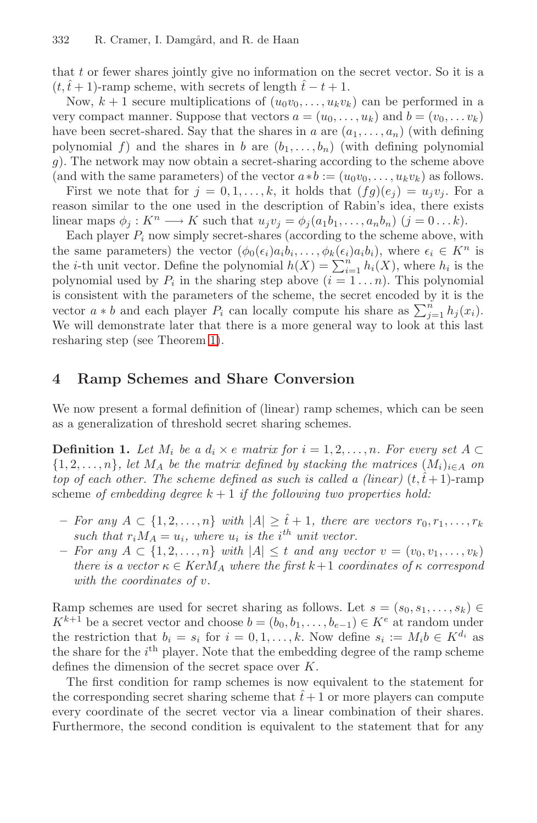that t or fewer shares jointly give no information on the secret vector. So it is a  $(t, \hat{t} + 1)$ -ramp scheme, with secrets of length  $\hat{t} - t + 1$ .

Now,  $k + 1$  secure multiplications of  $(u_0v_0, \ldots, u_kv_k)$  can be performed in a very compact manner. Suppose that vectors  $a = (u_0, \ldots, u_k)$  and  $b = (v_0, \ldots v_k)$ have been secret-shared. Say that the shares in a are  $(a_1, \ldots, a_n)$  (with defining polynomial f) and the shares in b are  $(b_1,\ldots,b_n)$  (with defining polynomial g). The network may now obtain a secret-sharing according to the scheme above (and with the same parameters) of the vector  $a * b := (u_0v_0, \ldots, u_kv_k)$  as follows.

First we note that for  $j = 0, 1, ..., k$ , it holds that  $(fg)(e_i) = u_i v_i$ . For a reason similar to the one used in the description of Rabin's idea, there exists linear maps  $\phi_i: K^n \longrightarrow K$  such that  $u_i v_j = \phi_i(a_1b_1,\ldots,a_nb_n)$   $(j = 0 \ldots k)$ .

Each player  $P_i$  now simply secret-shares (according to the scheme above, with the same parameters) the vector  $(\phi_0(\epsilon_i)a_ib_i,\ldots,\phi_k(\epsilon_i)a_ib_i)$ , where  $\epsilon_i \in K^n$  is the *i*-th unit vector. Define the polynomial  $h(X) = \sum_{i=1}^{n} h_i(X)$ , where  $h_i$  is the polynomial used by  $P_i$  in the sharing step above  $(i = 1 \dots n)$ . This polynomial is consistent with the parameters of the scheme, the secret encoded by it is the vector  $a * b$  and each player  $P_i$  can locally compute his share as  $\sum_{j=1}^{n} h_j(x_i)$ . We will demonstrate later that there is a more general way to look at this last resharing step (see Theorem 1).

## **4 Ramp Schemes and Share Conversion**

We now present a formal definition of (linear) ramp schemes, which can be seen as a generalization of threshold secret sharing schemes.

**Definition 1.** Let  $M_i$  be a  $d_i \times e$  matrix for  $i = 1, 2, ..., n$ . For every set  $A \subset$  $\{1, 2, \ldots, n\}$ , let  $M_A$  be the matrix defined by stacking the matrices  $(M_i)_{i \in A}$  on top of each other. The scheme defined as such is called a (linear)  $(t, \hat{t} + 1)$ -ramp scheme of embedding degree  $k + 1$  if the following two properties hold:

- $-$  For any  $A \subset \{1, 2, ..., n\}$  with  $|A| \geq \hat{t} + 1$ , there are vectors  $r_0, r_1, ..., r_k$ such that  $r_i M_A = u_i$ , where  $u_i$  is the i<sup>th</sup> unit vector.
- **−** For any  $A \subset \{1, 2, ..., n\}$  with  $|A| \le t$  and any vector  $v = (v_0, v_1, ..., v_k)$ there is a vector  $\kappa \in \text{Ker} M_A$  where the first  $k+1$  coordinates of  $\kappa$  correspond with the coordinates of v.

Ramp schemes are used for secret sharing as follows. Let  $s = (s_0, s_1, \ldots, s_k) \in$  $K^{k+1}$  be a secret vector and choose  $b = (b_0, b_1, \ldots, b_{e-1}) \in K^e$  at random under the restriction that  $b_i = s_i$  for  $i = 0, 1, \ldots, k$ . Now define  $s_i := M_i b \in K^{d_i}$  as the share for the  $i<sup>th</sup>$  player. Note that the embedding degree of the ramp scheme defines the dimension of the secret space over K.

The first condition for ramp schemes is now equivalent to the statement for the corresponding secret sharing scheme that  $\hat{t}+1$  or more players can compute every coordinate of the secret vector via a linear combination of their shares. Furthermore, the second condition is equivalent to the statement that for any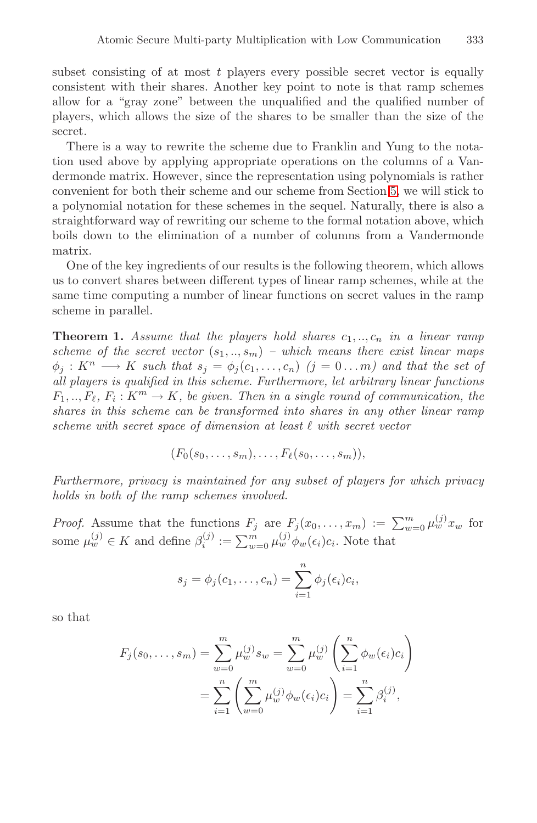subset consisting of at most  $t$  players every possible secret vector is equally consistent with their shares. Another key point to note is that ramp schemes allow for a "gray zone" between the unqualified and the qualified number of players, which allows the size of the shares to be smaller than the size of the secret.

There is a way to rewrite the scheme due to Franklin and Yung to the notation used above by applying appropriate operations on the columns of a Vandermonde matrix. However, since the representation using polynomials is rather convenient for both their scheme and our scheme from Section 5, we will stick to a polynomial notation for these schemes in the sequel. Naturally, there is also a straightforward way of rewriting our scheme to the formal notation above, which boils down to the elimination of a number of columns from a Vandermonde matrix.

One of the key ingredients of our results is the following theorem, which allows us to convert shares between different types of linear ramp schemes, while at the same time computing a number of linear functions on secret values in the ramp scheme in parallel.

**Theorem 1.** Assume that the players hold shares  $c_1, \ldots, c_n$  in a linear ramp scheme of the secret vector  $(s_1, ..., s_m)$  – which means there exist linear maps  $\phi_j: K^n \longrightarrow K$  such that  $s_j = \phi_j(c_1,\ldots,c_n)$   $(j = 0 \ldots m)$  and that the set of all players is qualified in this scheme. Furthermore, let arbitrary linear functions  $F_1, ..., F_\ell, F_i : K^m \to K$ , be given. Then in a single round of communication, the shares in this scheme can be transformed into shares in any other linear ramp scheme with secret space of dimension at least  $\ell$  with secret vector

$$
(F_0(s_0,\ldots,s_m),\ldots,F_\ell(s_0,\ldots,s_m)),
$$

Furthermore, privacy is maintained for any subset of players for which privacy holds in both of the ramp schemes involved.

*Proof.* Assume that the functions  $F_j$  are  $F_j(x_0,...,x_m) := \sum_{w=0}^m \mu_w^{(j)} x_w$  for some  $\mu_w^{(j)} \in K$  and define  $\beta_i^{(j)} := \sum_{w=0}^m \mu_w^{(j)} \phi_w(\epsilon_i) c_i$ . Note that

$$
s_j = \phi_j(c_1, \dots, c_n) = \sum_{i=1}^n \phi_j(\epsilon_i)c_i,
$$

so that

$$
F_j(s_0, ..., s_m) = \sum_{w=0}^m \mu_w^{(j)} s_w = \sum_{w=0}^m \mu_w^{(j)} \left( \sum_{i=1}^n \phi_w(\epsilon_i) c_i \right)
$$
  
= 
$$
\sum_{i=1}^n \left( \sum_{w=0}^m \mu_w^{(j)} \phi_w(\epsilon_i) c_i \right) = \sum_{i=1}^n \beta_i^{(j)},
$$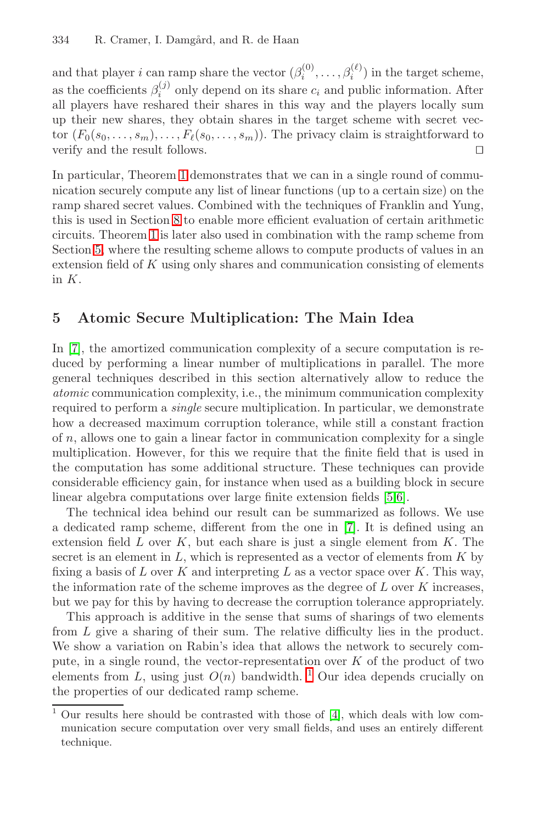and that player *i* can ramp share the vector  $(\beta_i^{(0)}, \dots, \beta_i^{(\ell)})$  in the target scheme, as the coefficients  $\beta_i^{(j)}$  only depend on its share  $c_i$  and public information. After all players have reshared their shares in this way and the players locally sum up their new shares, they obtain shares in the target scheme with secret vector  $(F_0(s_0,\ldots,s_m),\ldots,F_\ell(s_0,\ldots,s_m))$ . The privacy claim is straightforward to verify and the result follows.

In particular, Theorem 1 demonstrates that we can in a single round of communication securely compute any list of linear functions (up to a certain size) on the ramp shared secret values. Combined with the techniques of Franklin and Yung, this is used in Section 8 to enable more efficient evaluation of certain arithmetic circuits. Theorem 1 is later also used in combination with the ramp scheme from Section 5, where the resulting scheme allows to compute products of values in an extension field of K using only shares and communication consisting of elements in K.

# **5 Atomic Secure Multiplication: The Main Idea**

In [7], the amortized communication complexity of a secure computation is reduced by performing a linear number of multiplications in parallel. The more general techniques described in this section alternatively allow to reduce the atomic communication complexity, i.e., the minimum communication complexity required to perform a single secure multiplication. In particular, we demonstrate how a decreased maximum corruption tolerance, while still a constant fraction of  $n$ , allows one to gain a linear factor in communication complexity for a single multiplication. However, for this we require that the finite field that is used in the computation has some additional structure. These techniques can provide considerable efficiency gain, for instance when used as a building block in secure linear algebra computations over large finite extension fields [5,6].

The technical idea behind our result can be summarized as follows. We use a dedicated ramp scheme, different from the one in [7]. It is defined using an extension field  $L$  over  $K$ , but each share is just a single element from  $K$ . The secret is an element in  $L$ , which is represented as a vector of elements from  $K$  by fixing a basis of L over K and interpreting L as a vector space over K. This way, the information rate of the scheme improves as the degree of  $L$  over  $K$  increases, but we pay for this by having to decrease the corruption tolerance appropriately.

This approach is additive in the sense that sums of sharings of two elements from L give a sharing of their sum. The relative difficulty lies in the product. We show a variation on Rabin's idea that allows the network to securely compute, in a single round, the vector-representation over  $K$  of the product of two elements from L, using just  $O(n)$  bandwidth. <sup>1</sup> Our idea depends crucially on the properties of our dedicated ramp scheme.

Our results here should be contrasted with those of  $[4]$ , which deals with low communication secure computation over very small fields, and uses an entirely different technique.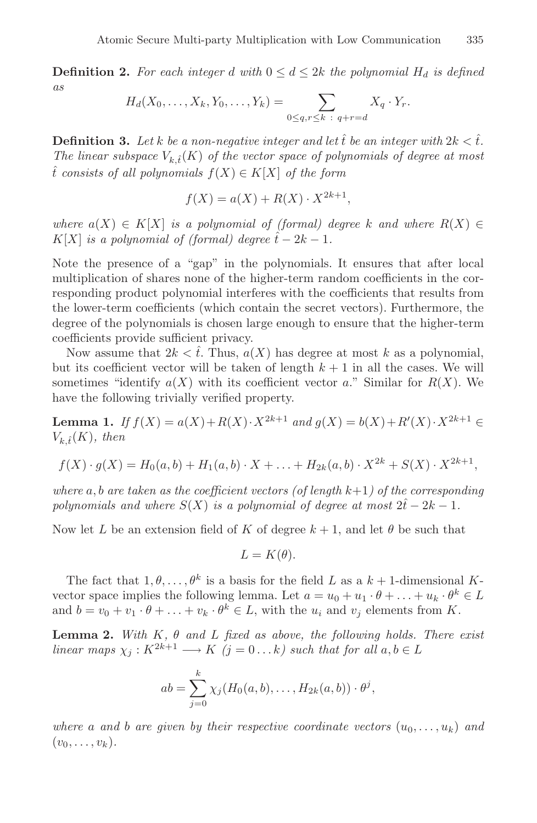**Definition 2.** For each integer d with  $0 \le d \le 2k$  the polynomial  $H_d$  is defined as

$$
H_d(X_0,\ldots,X_k,Y_0,\ldots,Y_k)=\sum_{0\leq q,r\leq k}X_q\cdot Y_r.
$$

**Definition 3.** Let k be a non-negative integer and let  $\hat{t}$  be an integer with  $2k < \hat{t}$ . The linear subspace  $V_{k,\hat{t}}(K)$  of the vector space of polynomials of degree at most  $\hat{t}$  consists of all polynomials  $f(X) \in K[X]$  of the form

$$
f(X) = a(X) + R(X) \cdot X^{2k+1},
$$

where  $a(X) \in K[X]$  is a polynomial of (formal) degree k and where  $R(X) \in$  $K[X]$  is a polynomial of (formal) degree  $\hat{t} - 2k - 1$ .

Note the presence of a "gap" in the polynomials. It ensures that after local multiplication of shares none of the higher-term random coefficients in the corresponding product polynomial interferes with the coefficients that results from the lower-term coefficients (which contain the secret vectors). Furthermore, the degree of the polynomials is chosen large enough to ensure that the higher-term coefficients provide sufficient privacy.

Now assume that  $2k < \hat{t}$ . Thus,  $a(X)$  has degree at most k as a polynomial, but its coefficient vector will be taken of length  $k + 1$  in all the cases. We will sometimes "identify  $a(X)$  with its coefficient vector a." Similar for  $R(X)$ . We have the following trivially verified property.

**Lemma 1.** If  $f(X) = a(X) + R(X) \cdot X^{2k+1}$  and  $g(X) = b(X) + R'(X) \cdot X^{2k+1}$  $V_{k,\hat{t}}(K)$ , then

$$
f(X) \cdot g(X) = H_0(a, b) + H_1(a, b) \cdot X + \ldots + H_{2k}(a, b) \cdot X^{2k} + S(X) \cdot X^{2k+1},
$$

where a, b are taken as the coefficient vectors (of length  $k+1$ ) of the corresponding polynomials and where  $S(X)$  is a polynomial of degree at most  $2\hat{t} - 2k - 1$ .

Now let L be an extension field of K of degree  $k + 1$ , and let  $\theta$  be such that

$$
L = K(\theta).
$$

The fact that  $1, \theta, \ldots, \theta^k$  is a basis for the field L as a  $k + 1$ -dimensional Kvector space implies the following lemma. Let  $a = u_0 + u_1 \cdot \theta + \ldots + u_k \cdot \theta^k \in L$ and  $b = v_0 + v_1 \cdot \theta + \ldots + v_k \cdot \theta^k \in L$ , with the  $u_i$  and  $v_j$  elements from K.

**Lemma 2.** With  $K$ ,  $\theta$  and  $L$  fixed as above, the following holds. There exist linear maps  $\chi_i : K^{2k+1} \longrightarrow K$   $(j = 0...k)$  such that for all  $a, b \in L$ 

$$
ab = \sum_{j=0}^k \chi_j(H_0(a,b),\ldots,H_{2k}(a,b)) \cdot \theta^j,
$$

where a and b are given by their respective coordinate vectors  $(u_0, \ldots, u_k)$  and  $(v_0,\ldots,v_k)$ .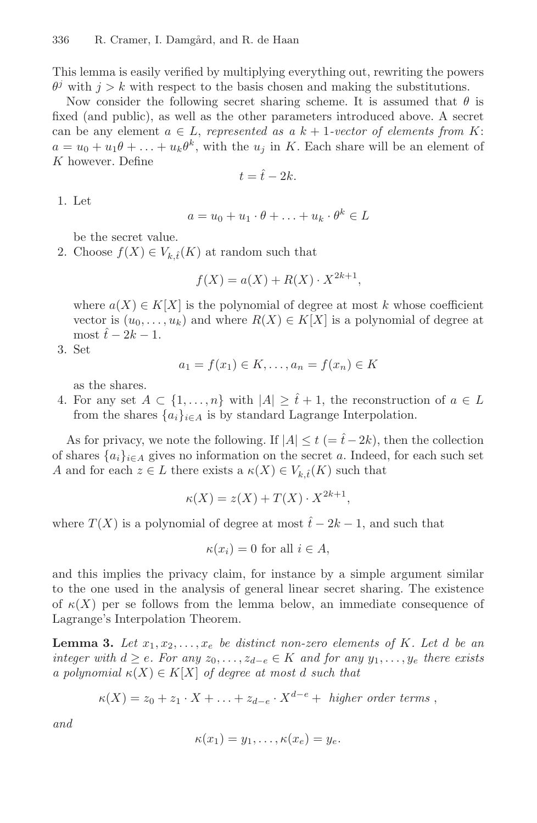This lemma is easily verified by multiplying everything out, rewriting the powers  $\theta^j$  with  $j > k$  with respect to the basis chosen and making the substitutions.

Now consider the following secret sharing scheme. It is assumed that  $\theta$  is fixed (and public), as well as the other parameters introduced above. A secret can be any element  $a \in L$ , represented as  $a k + 1$ -vector of elements from K:  $a = u_0 + u_1 \theta + \ldots + u_k \theta^k$ , with the  $u_i$  in K. Each share will be an element of K however. Define

$$
t = \hat{t} - 2k.
$$

1. Let

$$
a = u_0 + u_1 \cdot \theta + \ldots + u_k \cdot \theta^k \in L
$$

be the secret value.

2. Choose  $f(X) \in V_{k,\hat{t}}(K)$  at random such that

$$
f(X) = a(X) + R(X) \cdot X^{2k+1},
$$

where  $a(X) \in K[X]$  is the polynomial of degree at most k whose coefficient vector is  $(u_0, \ldots, u_k)$  and where  $R(X) \in K[X]$  is a polynomial of degree at most  $\hat{t} - 2k - 1$ .

3. Set

$$
a_1 = f(x_1) \in K, \dots, a_n = f(x_n) \in K
$$

as the shares.

4. For any set  $A \subset \{1, ..., n\}$  with  $|A| \geq \hat{t} + 1$ , the reconstruction of  $a \in L$ from the shares  $\{a_i\}_{i\in A}$  is by standard Lagrange Interpolation.

As for privacy, we note the following. If  $|A| \le t$  (=  $\hat{t} - 2k$ ), then the collection of shares  $\{a_i\}_{i\in A}$  gives no information on the secret a. Indeed, for each such set A and for each  $z \in L$  there exists a  $\kappa(X) \in V_{k,\hat{t}}(K)$  such that

$$
\kappa(X) = z(X) + T(X) \cdot X^{2k+1},
$$

where  $T(X)$  is a polynomial of degree at most  $\hat{t} - 2k - 1$ , and such that

$$
\kappa(x_i) = 0 \text{ for all } i \in A,
$$

and this implies the privacy claim, for instance by a simple argument similar to the one used in the analysis of general linear secret sharing. The existence of  $\kappa(X)$  per se follows from the lemma below, an immediate consequence of Lagrange's Interpolation Theorem.

**Lemma 3.** Let  $x_1, x_2, \ldots, x_e$  be distinct non-zero elements of K. Let d be an integer with  $d \geq e$ . For any  $z_0, \ldots, z_{d-e} \in K$  and for any  $y_1, \ldots, y_e$  there exists a polynomial  $\kappa(X) \in K[X]$  of degree at most d such that

$$
\kappa(X) = z_0 + z_1 \cdot X + \ldots + z_{d-e} \cdot X^{d-e} + higher order terms,
$$

and

$$
\kappa(x_1)=y_1,\ldots,\kappa(x_e)=y_e.
$$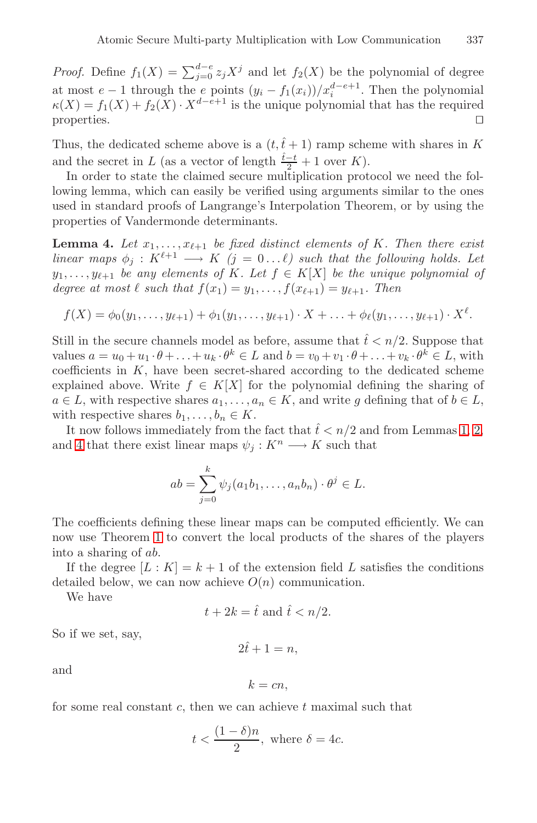*Proof.* Define  $f_1(X) = \sum_{j=0}^{d-e} z_j X^j$  and let  $f_2(X)$  be the polynomial of degree at most  $e-1$  through the e points  $(y_i - f_1(x_i))/x_i^{d-e+1}$ . Then the polynomial  $\kappa(X) = f_1(X) + f_2(X) \cdot X^{d-e+1}$  is the unique polynomial that has the required properties.

Thus, the dedicated scheme above is a  $(t, \hat{t} + 1)$  ramp scheme with shares in K and the secret in L (as a vector of length  $\frac{\hat{t}-t}{2} + 1$  over K).

In order to state the claimed secure multiplication protocol we need the following lemma, which can easily be verified using arguments similar to the ones used in standard proofs of Langrange's Interpolation Theorem, or by using the properties of Vandermonde determinants.

**Lemma 4.** Let  $x_1, \ldots, x_{\ell+1}$  be fixed distinct elements of K. Then there exist linear maps  $\phi_i: K^{\ell+1} \longrightarrow K$   $(j = 0... \ell)$  such that the following holds. Let  $y_1, \ldots, y_{\ell+1}$  be any elements of K. Let  $f \in K[X]$  be the unique polynomial of degree at most  $\ell$  such that  $f(x_1) = y_1, \ldots, f(x_{\ell+1}) = y_{\ell+1}$ . Then

$$
f(X) = \phi_0(y_1, \ldots, y_{\ell+1}) + \phi_1(y_1, \ldots, y_{\ell+1}) \cdot X + \ldots + \phi_{\ell}(y_1, \ldots, y_{\ell+1}) \cdot X^{\ell}.
$$

Still in the secure channels model as before, assume that  $\hat{t} < n/2$ . Suppose that values  $a = u_0 + u_1 \cdot \theta + \ldots + u_k \cdot \theta^k \in L$  and  $b = v_0 + v_1 \cdot \theta + \ldots + v_k \cdot \theta^k \in L$ , with coefficients in  $K$ , have been secret-shared according to the dedicated scheme explained above. Write  $f \in K[X]$  for the polynomial defining the sharing of  $a \in L$ , with respective shares  $a_1, \ldots, a_n \in K$ , and write g defining that of  $b \in L$ , with respective shares  $b_1, \ldots, b_n \in K$ .

It now follows immediately from the fact that  $\hat{t} < n/2$  and from Lemmas 1, 2, and 4 that there exist linear maps  $\psi_i : K^n \longrightarrow K$  such that

$$
ab = \sum_{j=0}^{k} \psi_j(a_1b_1, \dots, a_nb_n) \cdot \theta^j \in L.
$$

The coefficients defining these linear maps can be computed efficiently. We can now use Theorem 1 to convert the local products of the shares of the players into a sharing of ab.

If the degree  $[L: K] = k + 1$  of the extension field L satisfies the conditions detailed below, we can now achieve  $O(n)$  communication.

We have

$$
t + 2k = \hat{t} \text{ and } \hat{t} < n/2.
$$

So if we set, say,

$$
2\hat{t} + 1 = n,
$$

and

$$
k = cn,
$$

for some real constant c, then we can achieve  $t$  maximal such that

$$
t < \frac{(1 - \delta)n}{2}, \text{ where } \delta = 4c.
$$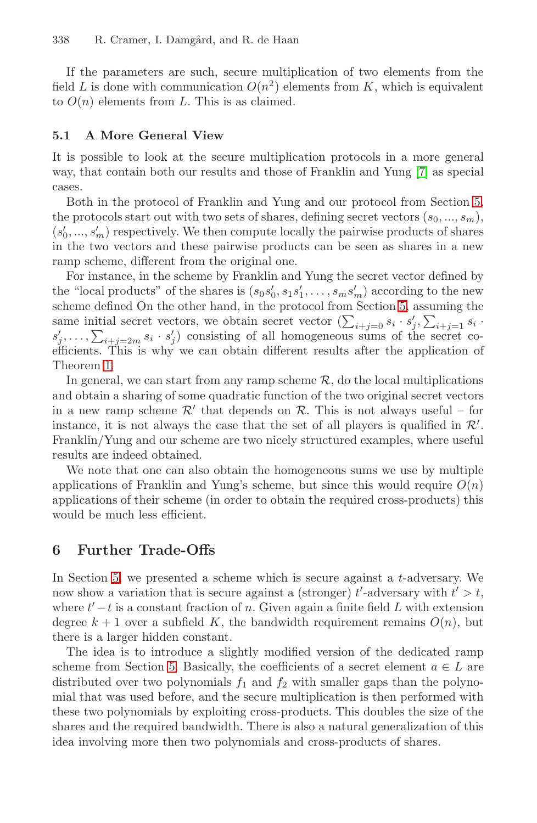If the parameters are such, secure multiplication of two elements from the field L is done with communication  $O(n^2)$  elements from K, which is equivalent to  $O(n)$  elements from L. This is as claimed.

#### **5.1 A More General View**

It is possible to look at the secure multiplication protocols in a more general way, that contain both our results and those of Franklin and Yung [7] as special cases.

Both in the protocol of Franklin and Yung and our protocol from Section 5, the protocols start out with two sets of shares, defining secret vectors  $(s_0, ..., s_m)$ ,  $(s'_0, ..., s'_m)$  respectively. We then compute locally the pairwise products of shares in the two vectors and these pairwise products can be seen as shares in a new ramp scheme, different from the original one.

For instance, in the scheme by Franklin and Yung the secret vector defined by the "local products" of the shares is  $(s_0s'_0, s_1s'_1, \ldots, s_ms'_m)$  according to the new scheme defined On the other hand, in the protocol from Section 5, assuming the same initial secret vectors, we obtain secret vector  $(\sum_{i+j=0} s_i \cdot s'_j, \sum_{i+j=1} s_i \cdot$  $s'_j, \ldots, \sum_{i+j=2m} s_i \cdot s'_j$  consisting of all homogeneous sums of the secret coefficients. This is why we can obtain different results after the application of Theorem 1.

In general, we can start from any ramp scheme  $\mathcal{R}$ , do the local multiplications and obtain a sharing of some quadratic function of the two original secret vectors in a new ramp scheme  $\mathcal{R}'$  that depends on  $\mathcal{R}$ . This is not always useful – for instance, it is not always the case that the set of all players is qualified in  $\mathcal{R}'$ . Franklin/Yung and our scheme are two nicely structured examples, where useful results are indeed obtained.

We note that one can also obtain the homogeneous sums we use by multiple applications of Franklin and Yung's scheme, but since this would require  $O(n)$ applications of their scheme (in order to obtain the required cross-products) this would be much less efficient.

# **6 Further Trade-Offs**

In Section 5, we presented a scheme which is secure against a  $t$ -adversary. We now show a variation that is secure against a (stronger)  $t'$ -adversary with  $t' > t$ , where  $t'-t$  is a constant fraction of n. Given again a finite field L with extension degree  $k + 1$  over a subfield K, the bandwidth requirement remains  $O(n)$ , but there is a larger hidden constant.

The idea is to introduce a slightly modified version of the dedicated ramp scheme from Section 5. Basically, the coefficients of a secret element  $a \in L$  are distributed over two polynomials  $f_1$  and  $f_2$  with smaller gaps than the polynomial that was used before, and the secure multiplication is then performed with these two polynomials by exploiting cross-products. This doubles the size of the shares and the required bandwidth. There is also a natural generalization of this idea involving more then two polynomials and cross-products of shares.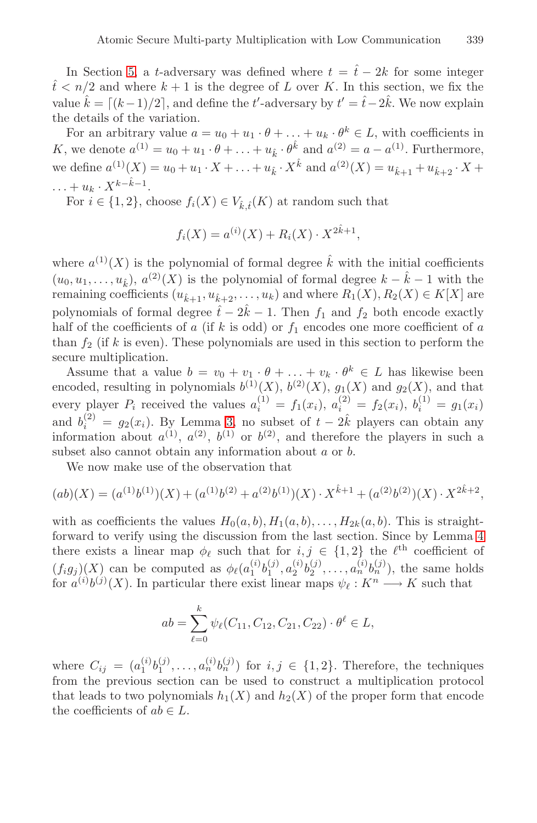In Section 5, a t-adversary was defined where  $t = \hat{t} - 2k$  for some integer  $t \leq n/2$  and where  $k+1$  is the degree of L over K. In this section, we fix the value  $\hat{k} = \lfloor (k-1)/2 \rfloor$ , and define the t'-adversary by  $t' = \hat{t} - 2\hat{k}$ . We now explain the details of the variation.

For an arbitrary value  $a = u_0 + u_1 \cdot \theta + \ldots + u_k \cdot \theta^k \in L$ , with coefficients in K, we denote  $a^{(1)} = u_0 + u_1 \cdot \theta + \ldots + u_{\hat{k}} \cdot \theta^{\hat{k}}$  and  $a^{(2)} = a - a^{(1)}$ . Furthermore, we define  $a^{(1)}(X) = u_0 + u_1 \cdot X + \ldots + u_{\hat{k}} \cdot X^{\hat{k}}$  and  $a^{(2)}(X) = u_{\hat{k}+1} + u_{\hat{k}+2} \cdot X +$  $... + u_k \cdot X^{k-k-1}.$ 

For  $i \in \{1, 2\}$ , choose  $f_i(X) \in V_{\hat{k}, \hat{t}}(K)$  at random such that

$$
f_i(X) = a^{(i)}(X) + R_i(X) \cdot X^{2\hat{k}+1},
$$

where  $a^{(1)}(X)$  is the polynomial of formal degree  $\hat{k}$  with the initial coefficients  $(u_0, u_1, \ldots, u_{\hat{k}}), a^{(2)}(X)$  is the polynomial of formal degree  $k - \hat{k} - 1$  with the remaining coefficients  $(u_{\hat{k}+1}, u_{\hat{k}+2},...,u_k)$  and where  $R_1(X), R_2(X) \in K[X]$  are polynomials of formal degree  $\hat{t} - 2\hat{k} - 1$ . Then  $f_1$  and  $f_2$  both encode exactly half of the coefficients of  $a$  (if  $k$  is odd) or  $f_1$  encodes one more coefficient of  $a$ than  $f_2$  (if k is even). These polynomials are used in this section to perform the secure multiplication.

Assume that a value  $b = v_0 + v_1 \cdot \theta + \ldots + v_k \cdot \theta^k \in L$  has likewise been encoded, resulting in polynomials  $b^{(1)}(X)$ ,  $b^{(2)}(X)$ ,  $g_1(X)$  and  $g_2(X)$ , and that every player  $P_i$  received the values  $a_i^{(1)} = f_1(x_i)$ ,  $a_i^{(2)} = f_2(x_i)$ ,  $b_i^{(1)} = g_1(x_i)$ and  $b_i^{(2)} = g_2(x_i)$ . By Lemma 3, no subset of  $t - 2\hat{k}$  players can obtain any information about  $a^{(1)}$ ,  $a^{(2)}$ ,  $b^{(1)}$  or  $b^{(2)}$ , and therefore the players in such a subset also cannot obtain any information about a or b.

We now make use of the observation that

$$
(ab)(X) = (a^{(1)}b^{(1)})(X) + (a^{(1)}b^{(2)} + a^{(2)}b^{(1)})(X) \cdot X^{\hat{k}+1} + (a^{(2)}b^{(2)})(X) \cdot X^{2\hat{k}+2},
$$

with as coefficients the values  $H_0(a, b), H_1(a, b), \ldots, H_{2k}(a, b)$ . This is straightforward to verify using the discussion from the last section. Since by Lemma 4 there exists a linear map  $\phi_{\ell}$  such that for  $i, j \in \{1, 2\}$  the  $\ell^{\text{th}}$  coefficient of  $(f_i g_j)(X)$  can be computed as  $\phi_{\ell}(a_1^{(i)} b_1^{(j)}, a_2^{(i)} b_2^{(j)}, \ldots, a_n^{(i)} b_n^{(j)})$ , the same holds for  $a^{(i)}b^{(j)}(X)$ . In particular there exist linear maps  $\psi_{\ell}: K^{n} \longrightarrow K$  such that

$$
ab = \sum_{\ell=0}^{k} \psi_{\ell}(C_{11}, C_{12}, C_{21}, C_{22}) \cdot \theta^{\ell} \in L,
$$

where  $C_{ij} = (a_1^{(i)}b_1^{(j)}, \ldots, a_n^{(i)}b_n^{(j)})$  for  $i, j \in \{1, 2\}$ . Therefore, the techniques from the previous section can be used to construct a multiplication protocol that leads to two polynomials  $h_1(X)$  and  $h_2(X)$  of the proper form that encode the coefficients of  $ab \in L$ .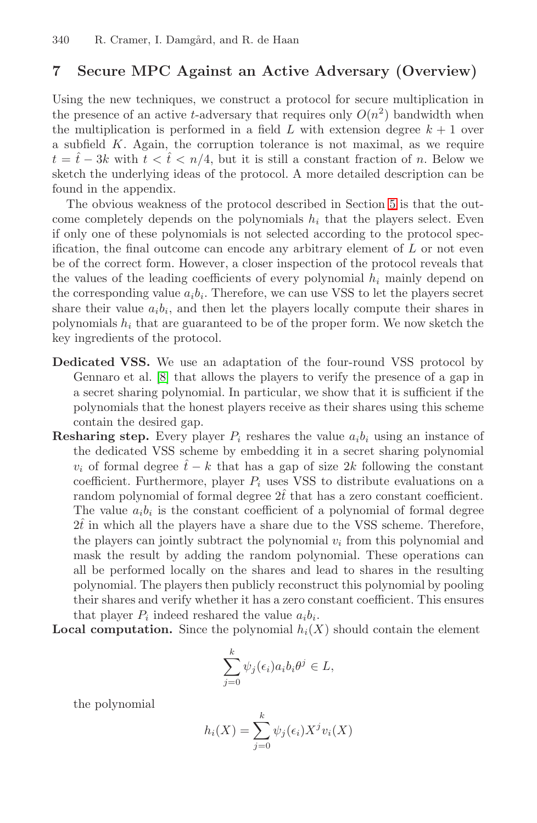# **7 Secure MPC Against an Active Adversary (Overview)**

Using the new techniques, we construct a protocol for secure multiplication in the presence of an active t-adversary that requires only  $O(n^2)$  bandwidth when the multiplication is performed in a field  $L$  with extension degree  $k + 1$  over a subfield K. Again, the corruption tolerance is not maximal, as we require  $t = \hat{t} - 3k$  with  $t < \hat{t} < n/4$ , but it is still a constant fraction of n. Below we sketch the underlying ideas of the protocol. A more detailed description can be found in the appendix.

The obvious weakness of the protocol described in Section 5 is that the outcome completely depends on the polynomials  $h_i$  that the players select. Even if only one of these polynomials is not selected according to the protocol specification, the final outcome can encode any arbitrary element of  $L$  or not even be of the correct form. However, a closer inspection of the protocol reveals that the values of the leading coefficients of every polynomial  $h_i$  mainly depend on the corresponding value  $a_i b_i$ . Therefore, we can use VSS to let the players secret share their value  $a_i b_i$ , and then let the players locally compute their shares in polynomials  $h_i$  that are guaranteed to be of the proper form. We now sketch the key ingredients of the protocol.

- **Dedicated VSS.** We use an adaptation of the four-round VSS protocol by Gennaro et al. [8] that allows the players to verify the presence of a gap in a secret sharing polynomial. In particular, we show that it is sufficient if the polynomials that the honest players receive as their shares using this scheme contain the desired gap.
- **Resharing step.** Every player  $P_i$  reshares the value  $a_i b_i$  using an instance of the dedicated VSS scheme by embedding it in a secret sharing polynomial  $v_i$  of formal degree  $\hat{t} - k$  that has a gap of size 2k following the constant coefficient. Furthermore, player  $P_i$  uses VSS to distribute evaluations on a random polynomial of formal degree  $2\hat{t}$  that has a zero constant coefficient. The value  $a_i b_i$  is the constant coefficient of a polynomial of formal degree  $2\hat{t}$  in which all the players have a share due to the VSS scheme. Therefore, the players can jointly subtract the polynomial  $v_i$  from this polynomial and mask the result by adding the random polynomial. These operations can all be performed locally on the shares and lead to shares in the resulting polynomial. The players then publicly reconstruct this polynomial by pooling their shares and verify whether it has a zero constant coefficient. This ensures that player  $P_i$  indeed reshared the value  $a_i b_i$ .
- **Local computation.** Since the polynomial  $h<sub>i</sub>(X)$  should contain the element

$$
\sum_{j=0}^k \psi_j(\epsilon_i) a_i b_i \theta^j \in L,
$$

the polynomial

$$
h_i(X) = \sum_{j=0}^{k} \psi_j(\epsilon_i) X^j v_i(X)
$$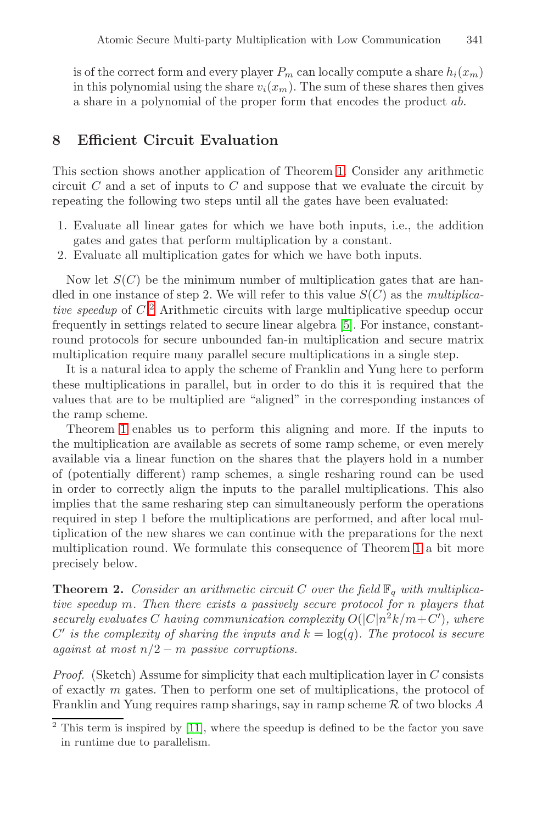is of the correct form and every player  $P_m$  can locally compute a share  $h_i(x_m)$ in this polynomial using the share  $v_i(x_m)$ . The sum of these shares then gives a share in a polynomial of the proper form that encodes the product ab.

# **8 Efficient Circuit Evaluation**

This section shows another application of Theorem 1. Consider any arithmetic circuit  $C$  and a set of inputs to  $C$  and suppose that we evaluate the circuit by repeating the following two steps until all the gates have been evaluated:

- 1. Evaluate all linear gates for which we have both inputs, i.e., the addition gates and gates that perform multiplication by a constant.
- 2. Evaluate all multiplication gates for which we have both inputs.

Now let  $S(C)$  be the minimum number of multiplication gates that are handled in one instance of step 2. We will refer to this value  $S(C)$  as the *multiplica*tive speedup of C.<sup>2</sup> Arithmetic circuits with large multiplicative speedup occur frequently in settings related to secure linear algebra [5]. For instance, constantround protocols for secure unbounded fan-in multiplication and secure matrix multiplication require many parallel secure multiplications in a single step.

It is a natural idea to apply the scheme of Franklin and Yung here to perform these multiplications in parallel, but in order to do this it is required that the values that are to be multiplied are "aligned" in the corresponding instances of the ramp scheme.

Theorem 1 enables us to perform this aligning and more. If the inputs to the multiplication are available as secrets of some ramp scheme, or even merely available via a linear function on the shares that the players hold in a number of (potentially different) ramp schemes, a single resharing round can be used in order to correctly align the inputs to the parallel multiplications. This also implies that the same resharing step can simultaneously perform the operations required in step 1 before the multiplications are performed, and after local multiplication of the new shares we can continue with the preparations for the next multiplication round. We formulate this consequence of Theorem 1 a bit more precisely below.

**Theorem 2.** Consider an arithmetic circuit C over the field  $\mathbb{F}_q$  with multiplicative speedup m. Then there exists a passively secure protocol for n players that securely evaluates C having communication complexity  $O(|C|n^2k/m+C')$ , where C' is the complexity of sharing the inputs and  $k = \log(q)$ . The protocol is secure against at most  $n/2 - m$  passive corruptions.

*Proof.* (Sketch) Assume for simplicity that each multiplication layer in  $C$  consists of exactly m gates. Then to perform one set of multiplications, the protocol of Franklin and Yung requires ramp sharings, say in ramp scheme  $R$  of two blocks  $A$ 

 $\frac{2}{10}$  This term is inspired by [11], where the speedup is defined to be the factor you save in runtime due to parallelism.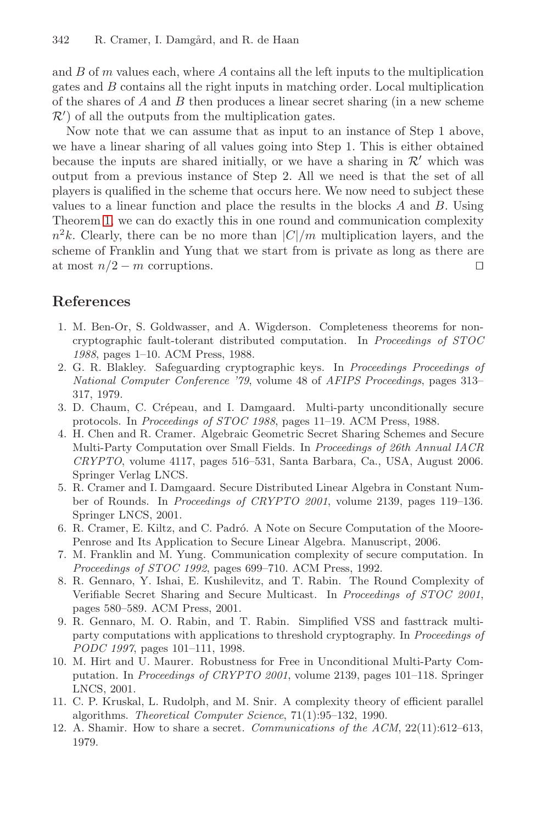and  $B$  of  $m$  values each, where  $A$  contains all the left inputs to the multiplication gates and B contains all the right inputs in matching order. Local multiplication of the shares of  $A$  and  $B$  then produces a linear secret sharing (in a new scheme  $\mathcal{R}'$  of all the outputs from the multiplication gates.

Now note that we can assume that as input to an instance of Step 1 above, we have a linear sharing of all values going into Step 1. This is either obtained because the inputs are shared initially, or we have a sharing in  $\mathcal{R}'$  which was output from a previous instance of Step 2. All we need is that the set of all players is qualified in the scheme that occurs here. We now need to subject these values to a linear function and place the results in the blocks  $A$  and  $B$ . Using Theorem 1, we can do exactly this in one round and communication complexity  $n^2k$ . Clearly, there can be no more than  $|C|/m$  multiplication layers, and the scheme of Franklin and Yung that we start from is private as long as there are at most  $n/2 - m$  corruptions.

# **References**

- 1. M. Ben-Or, S. Goldwasser, and A. Wigderson. Completeness theorems for noncryptographic fault-tolerant distributed computation. In Proceedings of STOC 1988, pages 1–10. ACM Press, 1988.
- 2. G. R. Blakley. Safeguarding cryptographic keys. In Proceedings Proceedings of National Computer Conference '79, volume 48 of AFIPS Proceedings, pages 313– 317, 1979.
- 3. D. Chaum, C. Crépeau, and I. Damgaard. Multi-party unconditionally secure protocols. In Proceedings of STOC 1988, pages 11–19. ACM Press, 1988.
- 4. H. Chen and R. Cramer. Algebraic Geometric Secret Sharing Schemes and Secure Multi-Party Computation over Small Fields. In Proceedings of 26th Annual IACR CRYPTO, volume 4117, pages 516–531, Santa Barbara, Ca., USA, August 2006. Springer Verlag LNCS.
- 5. R. Cramer and I. Damgaard. Secure Distributed Linear Algebra in Constant Number of Rounds. In Proceedings of CRYPTO 2001, volume 2139, pages 119–136. Springer LNCS, 2001.
- 6. R. Cramer, E. Kiltz, and C. Padró. A Note on Secure Computation of the Moore-Penrose and Its Application to Secure Linear Algebra. Manuscript, 2006.
- 7. M. Franklin and M. Yung. Communication complexity of secure computation. In Proceedings of STOC 1992, pages 699–710. ACM Press, 1992.
- 8. R. Gennaro, Y. Ishai, E. Kushilevitz, and T. Rabin. The Round Complexity of Verifiable Secret Sharing and Secure Multicast. In Proceedings of STOC 2001, pages 580–589. ACM Press, 2001.
- 9. R. Gennaro, M. O. Rabin, and T. Rabin. Simplified VSS and fasttrack multiparty computations with applications to threshold cryptography. In Proceedings of PODC 1997, pages 101–111, 1998.
- 10. M. Hirt and U. Maurer. Robustness for Free in Unconditional Multi-Party Computation. In Proceedings of CRYPTO 2001, volume 2139, pages 101–118. Springer LNCS, 2001.
- 11. C. P. Kruskal, L. Rudolph, and M. Snir. A complexity theory of efficient parallel algorithms. Theoretical Computer Science, 71(1):95–132, 1990.
- 12. A. Shamir. How to share a secret. Communications of the ACM, 22(11):612–613, 1979.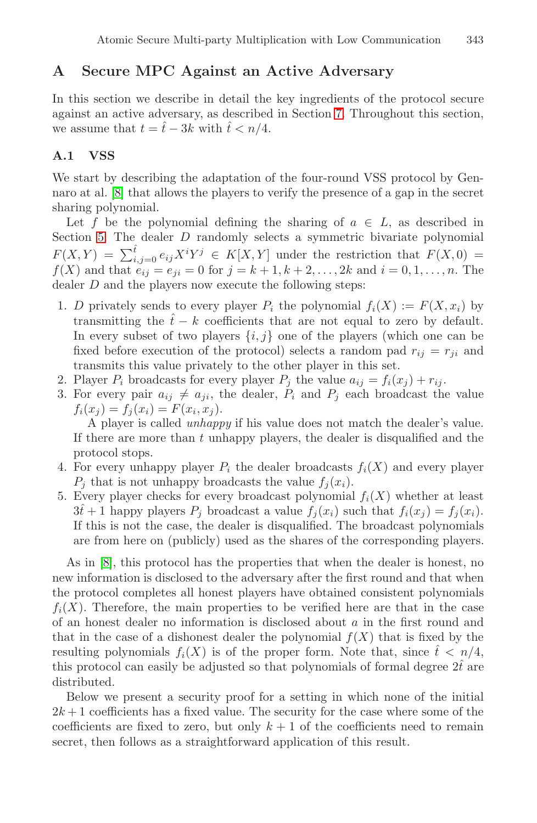## **A Secure MPC Against an Active Adversary**

In this section we describe in detail the key ingredients of the protocol secure against an active adversary, as described in Section 7. Throughout this section, we assume that  $t = \hat{t} - 3k$  with  $\hat{t} < n/4$ .

#### **A.1 VSS**

We start by describing the adaptation of the four-round VSS protocol by Gennaro at al. [8] that allows the players to verify the presence of a gap in the secret sharing polynomial.

Let f be the polynomial defining the sharing of  $a \in L$ , as described in Section 5. The dealer  $D$  randomly selects a symmetric bivariate polynomial  $F(X,Y) = \sum_{i,j=0}^{\hat{t}} e_{ij} X^i Y^j \in K[X,Y]$  under the restriction that  $F(X,0) =$  $f(X)$  and that  $e_{ij} = e_{ji} = 0$  for  $j = k + 1, k + 2, ..., 2k$  and  $i = 0, 1, ..., n$ . The dealer D and the players now execute the following steps:

- 1. D privately sends to every player  $P_i$  the polynomial  $f_i(X) := F(X, x_i)$  by transmitting the  $\hat{t} - k$  coefficients that are not equal to zero by default. In every subset of two players  $\{i, j\}$  one of the players (which one can be fixed before execution of the protocol) selects a random pad  $r_{ij} = r_{ji}$  and transmits this value privately to the other player in this set.
- 2. Player  $P_i$  broadcasts for every player  $P_i$  the value  $a_{ij} = f_i(x_i) + r_{ij}$ .
- 3. For every pair  $a_{ij} \neq a_{ji}$ , the dealer,  $P_i$  and  $P_j$  each broadcast the value  $f_i(x_i) = f_i(x_i) = F(x_i, x_i).$

A player is called unhappy if his value does not match the dealer's value. If there are more than  $t$  unhappy players, the dealer is disqualified and the protocol stops.

- 4. For every unhappy player  $P_i$  the dealer broadcasts  $f_i(X)$  and every player  $P_i$  that is not unhappy broadcasts the value  $f_i(x_i)$ .
- 5. Every player checks for every broadcast polynomial  $f_i(X)$  whether at least  $3\hat{t}+1$  happy players  $P_j$  broadcast a value  $f_j(x_i)$  such that  $f_i(x_j) = f_j(x_i)$ . If this is not the case, the dealer is disqualified. The broadcast polynomials are from here on (publicly) used as the shares of the corresponding players.

As in [8], this protocol has the properties that when the dealer is honest, no new information is disclosed to the adversary after the first round and that when the protocol completes all honest players have obtained consistent polynomials  $f_i(X)$ . Therefore, the main properties to be verified here are that in the case of an honest dealer no information is disclosed about a in the first round and that in the case of a dishonest dealer the polynomial  $f(X)$  that is fixed by the resulting polynomials  $f_i(X)$  is of the proper form. Note that, since  $\hat{t} < n/4$ , this protocol can easily be adjusted so that polynomials of formal degree  $2\hat{t}$  are distributed.

Below we present a security proof for a setting in which none of the initial  $2k+1$  coefficients has a fixed value. The security for the case where some of the coefficients are fixed to zero, but only  $k + 1$  of the coefficients need to remain secret, then follows as a straightforward application of this result.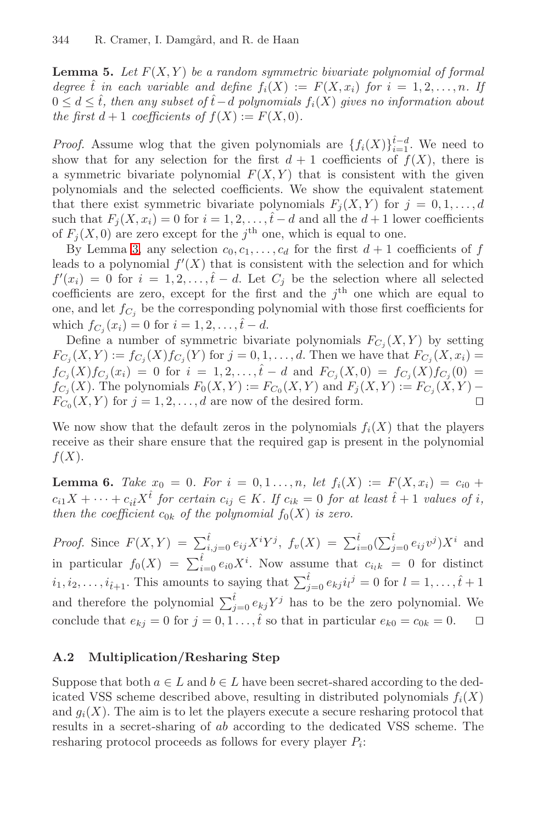**Lemma 5.** Let  $F(X, Y)$  be a random symmetric bivariate polynomial of formal degree  $\hat{t}$  in each variable and define  $f_i(X) := F(X, x_i)$  for  $i = 1, 2, ..., n$ . If  $0 \leq d \leq \hat{t}$ , then any subset of  $\hat{t} - d$  polynomials  $f_i(X)$  gives no information about the first  $d+1$  coefficients of  $f(X) := F(X, 0)$ .

*Proof.* Assume wlog that the given polynomials are  $\{f_i(X)\}_{i=1}^{\hat{t}-d}$ . We need to show that for any selection for the first  $d+1$  coefficients of  $f(X)$ , there is a symmetric bivariate polynomial  $F(X, Y)$  that is consistent with the given polynomials and the selected coefficients. We show the equivalent statement that there exist symmetric bivariate polynomials  $F_i(X, Y)$  for  $j = 0, 1, \ldots, d$ such that  $F_j(X, x_i) = 0$  for  $i = 1, 2, \ldots, \hat{t} - d$  and all the  $d + 1$  lower coefficients of  $F_i(X,0)$  are zero except for the j<sup>th</sup> one, which is equal to one.

By Lemma 3, any selection  $c_0, c_1, \ldots, c_d$  for the first  $d + 1$  coefficients of f leads to a polynomial  $f'(X)$  that is consistent with the selection and for which  $f'(x_i) = 0$  for  $i = 1, 2, \ldots, \hat{t} - d$ . Let  $C_j$  be the selection where all selected coefficients are zero, except for the first and the  $j<sup>th</sup>$  one which are equal to one, and let  $f_{C_i}$  be the corresponding polynomial with those first coefficients for which  $f_{C_j}(x_i) = 0$  for  $i = 1, 2, ..., \hat{t} - d$ .

Define a number of symmetric bivariate polynomials  $F_{C_i}(X, Y)$  by setting  $F_{C_i}(X,Y) := f_{C_i}(X)f_{C_i}(Y)$  for  $j = 0,1,...,d$ . Then we have that  $F_{C_i}(X,x_i) =$  $f_{C_j}(X)f_{C_j}(x_i) = 0$  for  $i = 1, 2, ..., \hat{t} - d$  and  $F_{C_j}(X, 0) = f_{C_j}(X)f_{C_j}(0) =$  $f_{C_i}(X)$ . The polynomials  $F_0(X,Y) := F_{C_0}(X,Y)$  and  $F_j(X,Y) := F_{C_j}(X,Y) F_{C_0}(X,Y)$  for  $j=1,2,\ldots,d$  are now of the desired form.

We now show that the default zeros in the polynomials  $f_i(X)$  that the players receive as their share ensure that the required gap is present in the polynomial  $f(X).$ 

**Lemma 6.** Take  $x_0 = 0$ . For  $i = 0, 1, ..., n$ , let  $f_i(X) := F(X, x_i) = c_{i0} +$  $c_{i1}X + \cdots + c_{i\hat{i}}X^{\hat{t}}$  for certain  $c_{ij} \in K$ . If  $c_{ik} = 0$  for at least  $\hat{t} + 1$  values of i, then the coefficient  $c_{0k}$  of the polynomial  $f_0(X)$  is zero.

*Proof.* Since  $F(X,Y) = \sum_{i,j=0}^{t} e_{ij} X^{i} Y^{j}$ ,  $f_{v}(X) = \sum_{i=0}^{t} (\sum_{j=0}^{i} e_{ij} v^{j}) X^{i}$  and in particular  $f_0(X) = \sum_{i=0}^{\hat{t}} e_{i0} X^i$ . Now assume that  $c_{i_k} = 0$  for distinct  $i_1, i_2, \ldots, i_{\hat{t}+1}$ . This amounts to saying that  $\sum_{j=0}^{\hat{t}} e_{kj} i_l^j = 0$  for  $l = 1, \ldots, \hat{t}+1$ and therefore the polynomial  $\sum_{j=0}^{\hat{t}} e_{kj}Y^j$  has to be the zero polynomial. We conclude that  $e_{kj} = 0$  for  $j = 0, 1, \ldots, \hat{t}$  so that in particular  $e_{k0} = c_{0k} = 0$ .  $\Box$ 

#### **A.2 Multiplication/Resharing Step**

Suppose that both  $a \in L$  and  $b \in L$  have been secret-shared according to the dedicated VSS scheme described above, resulting in distributed polynomials  $f_i(X)$ and  $g_i(X)$ . The aim is to let the players execute a secure resharing protocol that results in a secret-sharing of ab according to the dedicated VSS scheme. The resharing protocol proceeds as follows for every player  $P_i$ :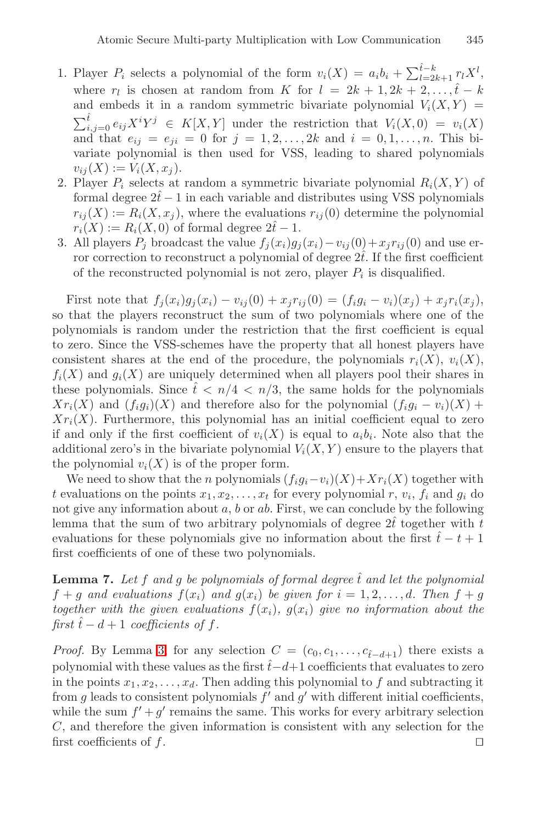- 1. Player  $P_i$  selects a polynomial of the form  $v_i(X) = a_i b_i + \sum_{l=2k+1}^{i-k} r_l X^l$ , where  $r_l$  is chosen at random from K for  $l = 2k + 1, 2k + 2, \ldots, \hat{t} - k$ and embeds it in a random symmetric bivariate polynomial  $V_i(X, Y) =$  $\sum_{i,j=0}^{\hat{t}} e_{ij}X^iY^j \in K[X,Y]$  under the restriction that  $V_i(X,0) = v_i(X)$ and that  $e_{ij} = e_{ji} = 0$  for  $j = 1, 2, ..., 2k$  and  $i = 0, 1, ..., n$ . This bivariate polynomial is then used for VSS, leading to shared polynomials  $v_{ij}(X) := V_i(X, x_j).$
- 2. Player  $P_i$  selects at random a symmetric bivariate polynomial  $R_i(X, Y)$  of formal degree  $2\hat{t} - 1$  in each variable and distributes using VSS polynomials  $r_{ij}(X) := R_i(X, x_j)$ , where the evaluations  $r_{ij}(0)$  determine the polynomial  $r_i(X) := R_i(X,0)$  of formal degree  $2\hat{t} - 1$ .
- 3. All players  $P_i$  broadcast the value  $f_i(x_i)g_i(x_i)-v_{ij}(0)+x_ir_{ij}(0)$  and use error correction to reconstruct a polynomial of degree  $2\hat{t}$ . If the first coefficient of the reconstructed polynomial is not zero, player  $P_i$  is disqualified.

First note that  $f_i(x_i)g_i(x_i) - v_{ij}(0) + x_jr_{ij}(0) = (f_ig_i - v_i)(x_j) + x_jr_i(x_j),$ so that the players reconstruct the sum of two polynomials where one of the polynomials is random under the restriction that the first coefficient is equal to zero. Since the VSS-schemes have the property that all honest players have consistent shares at the end of the procedure, the polynomials  $r_i(X)$ ,  $v_i(X)$ ,  $f_i(X)$  and  $g_i(X)$  are uniquely determined when all players pool their shares in these polynomials. Since  $t < n/4 < n/3$ , the same holds for the polynomials  $Xr_i(X)$  and  $(f_ig_i)(X)$  and therefore also for the polynomial  $(f_ig_i - v_i)(X)$  +  $Xr_i(X)$ . Furthermore, this polynomial has an initial coefficient equal to zero if and only if the first coefficient of  $v_i(X)$  is equal to  $a_i b_i$ . Note also that the additional zero's in the bivariate polynomial  $V_i(X, Y)$  ensure to the players that the polynomial  $v_i(X)$  is of the proper form.

We need to show that the n polynomials  $(f_i g_i - v_i)(X) + X r_i(X)$  together with t evaluations on the points  $x_1, x_2, \ldots, x_t$  for every polynomial r,  $v_i$ ,  $f_i$  and  $g_i$  do not give any information about  $a, b$  or  $ab$ . First, we can conclude by the following lemma that the sum of two arbitrary polynomials of degree  $2\hat{t}$  together with  $t$ evaluations for these polynomials give no information about the first  $\hat{t} - t + 1$ first coefficients of one of these two polynomials.

**Lemma 7.** Let  $f$  and  $g$  be polynomials of formal degree  $\hat{t}$  and let the polynomial  $f + g$  and evaluations  $f(x_i)$  and  $g(x_i)$  be given for  $i = 1, 2, \ldots, d$ . Then  $f + g$ together with the given evaluations  $f(x_i)$ ,  $g(x_i)$  give no information about the first  $\hat{t} - d + 1$  coefficients of f.

*Proof.* By Lemma 3, for any selection  $C = (c_0, c_1, \ldots, c_{t-d+1})$  there exists a polynomial with these values as the first  $\hat{t}-d+1$  coefficients that evaluates to zero in the points  $x_1, x_2, \ldots, x_d$ . Then adding this polynomial to f and subtracting it from g leads to consistent polynomials  $f'$  and  $g'$  with different initial coefficients, while the sum  $f' + g'$  remains the same. This works for every arbitrary selection C, and therefore the given information is consistent with any selection for the first coefficients of f.  $\Box$